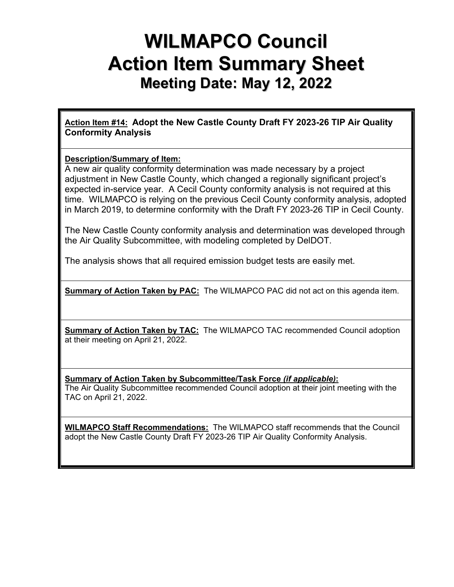# **WILMAPCO Council Action Item Summary Sheet Meeting Date: May 12, 2022**

**Action Item #14: Adopt the New Castle County Draft FY 2023-26 TIP Air Quality Conformity Analysis** 

## **Description/Summary of Item:**

A new air quality conformity determination was made necessary by a project adjustment in New Castle County, which changed a regionally significant project's expected in-service year. A Cecil County conformity analysis is not required at this time. WILMAPCO is relying on the previous Cecil County conformity analysis, adopted in March 2019, to determine conformity with the Draft FY 2023-26 TIP in Cecil County.

The New Castle County conformity analysis and determination was developed through the Air Quality Subcommittee, with modeling completed by DelDOT.

The analysis shows that all required emission budget tests are easily met.

**Summary of Action Taken by PAC:** The WILMAPCO PAC did not act on this agenda item.

**Summary of Action Taken by TAC:** The WILMAPCO TAC recommended Council adoption at their meeting on April 21, 2022.

**Summary of Action Taken by Subcommittee/Task Force** *(if applicable)***:**

The Air Quality Subcommittee recommended Council adoption at their joint meeting with the TAC on April 21, 2022.

**WILMAPCO Staff Recommendations:** The WILMAPCO staff recommends that the Council adopt the New Castle County Draft FY 2023-26 TIP Air Quality Conformity Analysis.